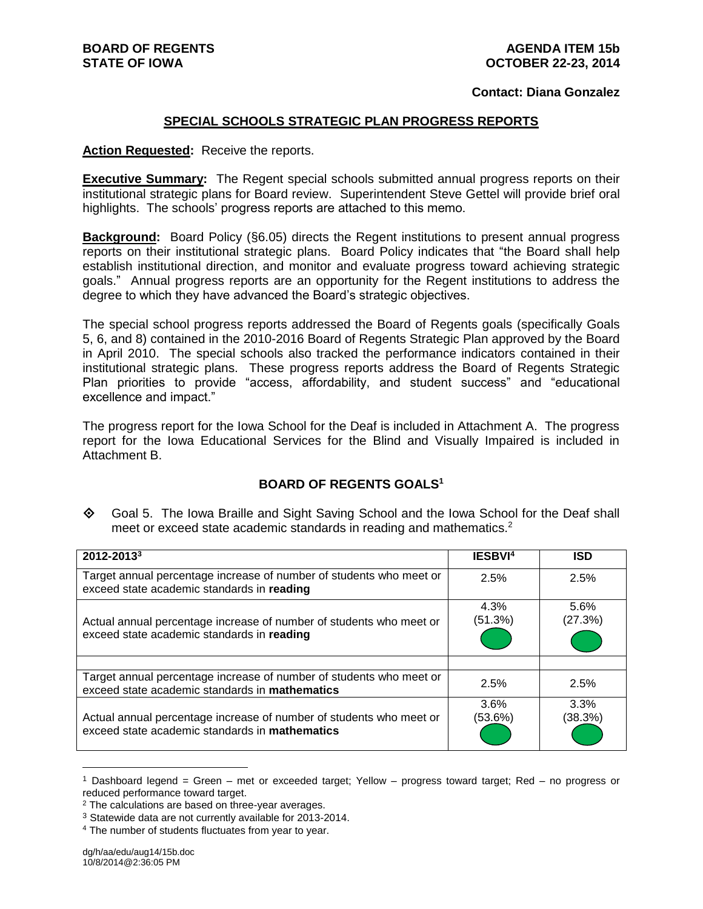#### **Contact: Diana Gonzalez**

#### **SPECIAL SCHOOLS STRATEGIC PLAN PROGRESS REPORTS**

#### **Action Requested:** Receive the reports.

**Executive Summary:** The Regent special schools submitted annual progress reports on their institutional strategic plans for Board review. Superintendent Steve Gettel will provide brief oral highlights. The schools' progress reports are attached to this memo.

**Background:** Board Policy (§6.05) directs the Regent institutions to present annual progress reports on their institutional strategic plans. Board Policy indicates that "the Board shall help establish institutional direction, and monitor and evaluate progress toward achieving strategic goals." Annual progress reports are an opportunity for the Regent institutions to address the degree to which they have advanced the Board's strategic objectives.

The special school progress reports addressed the Board of Regents goals (specifically Goals 5, 6, and 8) contained in the 2010-2016 Board of Regents Strategic Plan approved by the Board in April 2010. The special schools also tracked the performance indicators contained in their institutional strategic plans. These progress reports address the Board of Regents Strategic Plan priorities to provide "access, affordability, and student success" and "educational excellence and impact."

The progress report for the Iowa School for the Deaf is included in Attachment A. The progress report for the Iowa Educational Services for the Blind and Visually Impaired is included in Attachment B.

#### **BOARD OF REGENTS GOALS<sup>1</sup>**

 Goal 5. The Iowa Braille and Sight Saving School and the Iowa School for the Deaf shall meet or exceed state academic standards in reading and mathematics.<sup>2</sup>

| 2012-20133                                                                                                                   | IESBVI <sup>4</sup> | <b>ISD</b>      |
|------------------------------------------------------------------------------------------------------------------------------|---------------------|-----------------|
| Target annual percentage increase of number of students who meet or<br>exceed state academic standards in reading            | 2.5%                | 2.5%            |
| Actual annual percentage increase of number of students who meet or<br>exceed state academic standards in reading            | 4.3%<br>(51.3%)     | 5.6%<br>(27.3%) |
| Target annual percentage increase of number of students who meet or<br>exceed state academic standards in mathematics        | 2.5%                | 2.5%            |
| Actual annual percentage increase of number of students who meet or<br>exceed state academic standards in <b>mathematics</b> | 3.6%<br>(53.6%)     | 3.3%<br>(38.3%) |

<sup>1</sup> Dashboard legend = Green – met or exceeded target; Yellow – progress toward target; Red – no progress or reduced performance toward target.

 $\overline{a}$ 

<sup>&</sup>lt;sup>2</sup> The calculations are based on three-year averages.

<sup>&</sup>lt;sup>3</sup> Statewide data are not currently available for 2013-2014.

<sup>4</sup> The number of students fluctuates from year to year.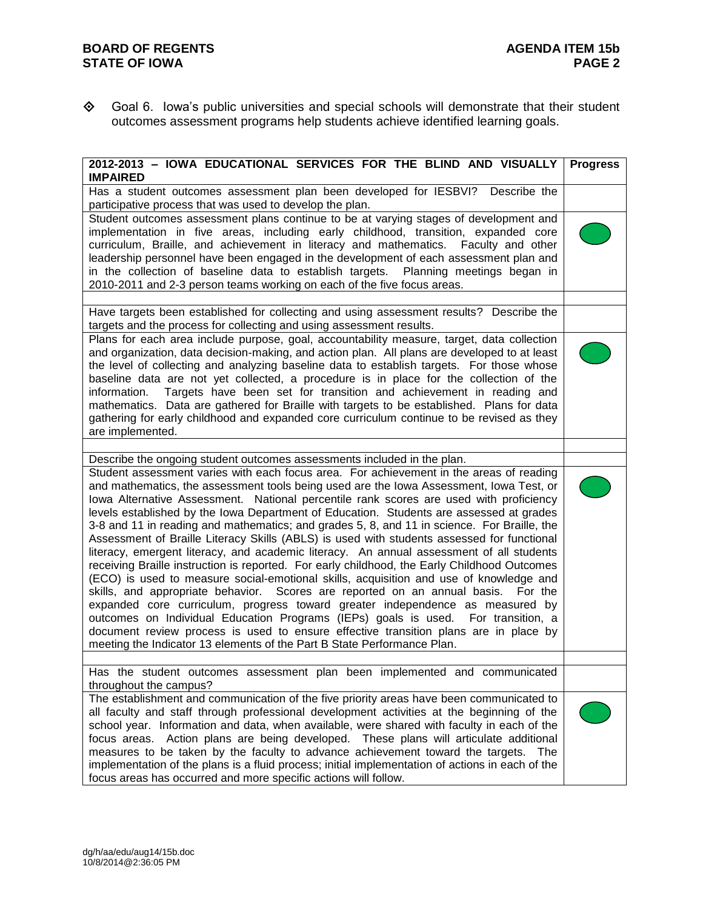Goal 6. Iowa's public universities and special schools will demonstrate that their student outcomes assessment programs help students achieve identified learning goals.

| 2012-2013 - IOWA EDUCATIONAL SERVICES FOR THE BLIND AND VISUALLY<br><b>IMPAIRED</b>                                                                                                                                                                                                                                                                                                                                                                                                                                                                                                                                                                                                                                                                                                                                                                                                                                                                                                                                                                                                                                                                                                                                                                                                                                                                                 | <b>Progress</b> |
|---------------------------------------------------------------------------------------------------------------------------------------------------------------------------------------------------------------------------------------------------------------------------------------------------------------------------------------------------------------------------------------------------------------------------------------------------------------------------------------------------------------------------------------------------------------------------------------------------------------------------------------------------------------------------------------------------------------------------------------------------------------------------------------------------------------------------------------------------------------------------------------------------------------------------------------------------------------------------------------------------------------------------------------------------------------------------------------------------------------------------------------------------------------------------------------------------------------------------------------------------------------------------------------------------------------------------------------------------------------------|-----------------|
| Has a student outcomes assessment plan been developed for IESBVI? Describe the<br>participative process that was used to develop the plan.                                                                                                                                                                                                                                                                                                                                                                                                                                                                                                                                                                                                                                                                                                                                                                                                                                                                                                                                                                                                                                                                                                                                                                                                                          |                 |
| Student outcomes assessment plans continue to be at varying stages of development and<br>implementation in five areas, including early childhood, transition, expanded core<br>curriculum, Braille, and achievement in literacy and mathematics. Faculty and other<br>leadership personnel have been engaged in the development of each assessment plan and<br>in the collection of baseline data to establish targets.  Planning meetings began in<br>2010-2011 and 2-3 person teams working on each of the five focus areas.                                                                                                                                                                                                                                                                                                                                                                                                                                                                                                                                                                                                                                                                                                                                                                                                                                      |                 |
| Have targets been established for collecting and using assessment results? Describe the                                                                                                                                                                                                                                                                                                                                                                                                                                                                                                                                                                                                                                                                                                                                                                                                                                                                                                                                                                                                                                                                                                                                                                                                                                                                             |                 |
| targets and the process for collecting and using assessment results.<br>Plans for each area include purpose, goal, accountability measure, target, data collection<br>and organization, data decision-making, and action plan. All plans are developed to at least<br>the level of collecting and analyzing baseline data to establish targets. For those whose<br>baseline data are not yet collected, a procedure is in place for the collection of the<br>Targets have been set for transition and achievement in reading and<br>information.<br>mathematics. Data are gathered for Braille with targets to be established. Plans for data<br>gathering for early childhood and expanded core curriculum continue to be revised as they<br>are implemented.                                                                                                                                                                                                                                                                                                                                                                                                                                                                                                                                                                                                      |                 |
|                                                                                                                                                                                                                                                                                                                                                                                                                                                                                                                                                                                                                                                                                                                                                                                                                                                                                                                                                                                                                                                                                                                                                                                                                                                                                                                                                                     |                 |
| Describe the ongoing student outcomes assessments included in the plan.<br>Student assessment varies with each focus area. For achievement in the areas of reading<br>and mathematics, the assessment tools being used are the Iowa Assessment, Iowa Test, or<br>lowa Alternative Assessment. National percentile rank scores are used with proficiency<br>levels established by the Iowa Department of Education. Students are assessed at grades<br>3-8 and 11 in reading and mathematics; and grades 5, 8, and 11 in science. For Braille, the<br>Assessment of Braille Literacy Skills (ABLS) is used with students assessed for functional<br>literacy, emergent literacy, and academic literacy. An annual assessment of all students<br>receiving Braille instruction is reported. For early childhood, the Early Childhood Outcomes<br>(ECO) is used to measure social-emotional skills, acquisition and use of knowledge and<br>skills, and appropriate behavior. Scores are reported on an annual basis. For the<br>expanded core curriculum, progress toward greater independence as measured by<br>outcomes on Individual Education Programs (IEPs) goals is used. For transition, a<br>document review process is used to ensure effective transition plans are in place by<br>meeting the Indicator 13 elements of the Part B State Performance Plan. |                 |
| Has the student outcomes assessment plan been implemented and communicated<br>throughout the campus?                                                                                                                                                                                                                                                                                                                                                                                                                                                                                                                                                                                                                                                                                                                                                                                                                                                                                                                                                                                                                                                                                                                                                                                                                                                                |                 |
| The establishment and communication of the five priority areas have been communicated to<br>all faculty and staff through professional development activities at the beginning of the<br>school year. Information and data, when available, were shared with faculty in each of the<br>focus areas. Action plans are being developed. These plans will articulate additional<br>measures to be taken by the faculty to advance achievement toward the targets. The<br>implementation of the plans is a fluid process; initial implementation of actions in each of the<br>focus areas has occurred and more specific actions will follow.                                                                                                                                                                                                                                                                                                                                                                                                                                                                                                                                                                                                                                                                                                                           |                 |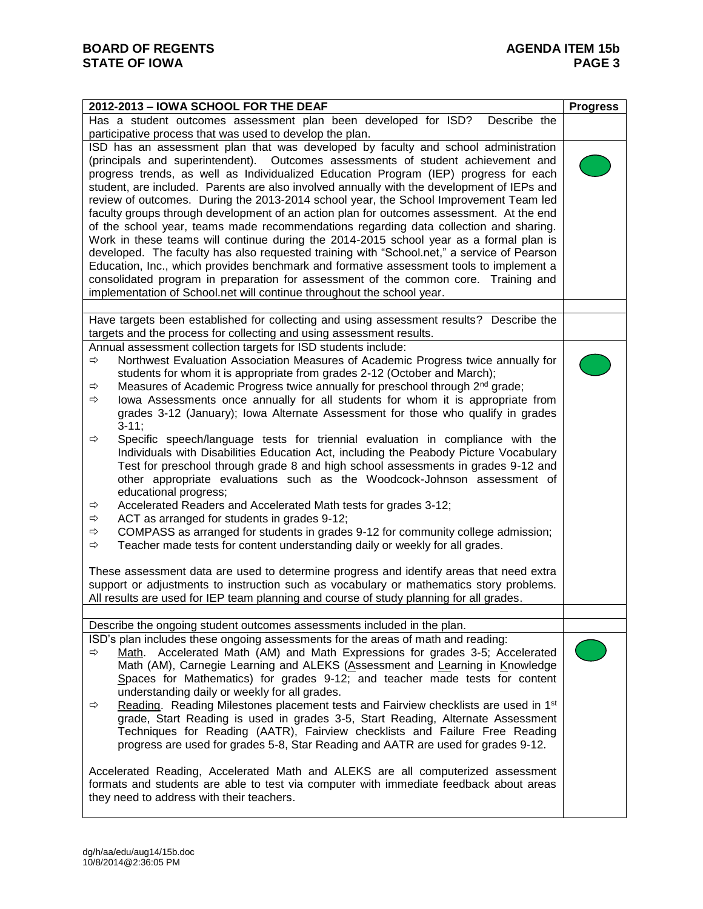| 2012-2013 - IOWA SCHOOL FOR THE DEAF                                                                                                                                                                                                                                                                                                                                                                                                                                                                                                                                                                                                                                                                                                                                                                                                                                                                                                                                                                                                                                                           | <b>Progress</b> |
|------------------------------------------------------------------------------------------------------------------------------------------------------------------------------------------------------------------------------------------------------------------------------------------------------------------------------------------------------------------------------------------------------------------------------------------------------------------------------------------------------------------------------------------------------------------------------------------------------------------------------------------------------------------------------------------------------------------------------------------------------------------------------------------------------------------------------------------------------------------------------------------------------------------------------------------------------------------------------------------------------------------------------------------------------------------------------------------------|-----------------|
| Has a student outcomes assessment plan been developed for ISD?<br>Describe the<br>participative process that was used to develop the plan.                                                                                                                                                                                                                                                                                                                                                                                                                                                                                                                                                                                                                                                                                                                                                                                                                                                                                                                                                     |                 |
| ISD has an assessment plan that was developed by faculty and school administration<br>(principals and superintendent). Outcomes assessments of student achievement and<br>progress trends, as well as Individualized Education Program (IEP) progress for each<br>student, are included. Parents are also involved annually with the development of IEPs and<br>review of outcomes. During the 2013-2014 school year, the School Improvement Team led<br>faculty groups through development of an action plan for outcomes assessment. At the end<br>of the school year, teams made recommendations regarding data collection and sharing.<br>Work in these teams will continue during the 2014-2015 school year as a formal plan is<br>developed. The faculty has also requested training with "School.net," a service of Pearson<br>Education, Inc., which provides benchmark and formative assessment tools to implement a<br>consolidated program in preparation for assessment of the common core. Training and<br>implementation of School.net will continue throughout the school year. |                 |
|                                                                                                                                                                                                                                                                                                                                                                                                                                                                                                                                                                                                                                                                                                                                                                                                                                                                                                                                                                                                                                                                                                |                 |
| Have targets been established for collecting and using assessment results? Describe the<br>targets and the process for collecting and using assessment results.                                                                                                                                                                                                                                                                                                                                                                                                                                                                                                                                                                                                                                                                                                                                                                                                                                                                                                                                |                 |
| Annual assessment collection targets for ISD students include:<br>Northwest Evaluation Association Measures of Academic Progress twice annually for<br>⇨<br>students for whom it is appropriate from grades 2-12 (October and March);<br>Measures of Academic Progress twice annually for preschool through 2 <sup>nd</sup> grade;<br>$\Rightarrow$<br>lowa Assessments once annually for all students for whom it is appropriate from<br>⇨<br>grades 3-12 (January); lowa Alternate Assessment for those who qualify in grades<br>$3-11;$                                                                                                                                                                                                                                                                                                                                                                                                                                                                                                                                                     |                 |
| Specific speech/language tests for triennial evaluation in compliance with the<br>⇨<br>Individuals with Disabilities Education Act, including the Peabody Picture Vocabulary<br>Test for preschool through grade 8 and high school assessments in grades 9-12 and<br>other appropriate evaluations such as the Woodcock-Johnson assessment of<br>educational progress;<br>Accelerated Readers and Accelerated Math tests for grades 3-12;<br>$\Rightarrow$                                                                                                                                                                                                                                                                                                                                                                                                                                                                                                                                                                                                                                     |                 |
| ACT as arranged for students in grades 9-12;<br>⇨<br>COMPASS as arranged for students in grades 9-12 for community college admission;<br>⇨<br>Teacher made tests for content understanding daily or weekly for all grades.<br>$\Rightarrow$                                                                                                                                                                                                                                                                                                                                                                                                                                                                                                                                                                                                                                                                                                                                                                                                                                                    |                 |
| These assessment data are used to determine progress and identify areas that need extra<br>support or adjustments to instruction such as vocabulary or mathematics story problems.<br>All results are used for IEP team planning and course of study planning for all grades.                                                                                                                                                                                                                                                                                                                                                                                                                                                                                                                                                                                                                                                                                                                                                                                                                  |                 |
|                                                                                                                                                                                                                                                                                                                                                                                                                                                                                                                                                                                                                                                                                                                                                                                                                                                                                                                                                                                                                                                                                                |                 |
| Describe the ongoing student outcomes assessments included in the plan.                                                                                                                                                                                                                                                                                                                                                                                                                                                                                                                                                                                                                                                                                                                                                                                                                                                                                                                                                                                                                        |                 |
| ISD's plan includes these ongoing assessments for the areas of math and reading:<br>Math. Accelerated Math (AM) and Math Expressions for grades 3-5; Accelerated<br>$\Rightarrow$<br>Math (AM), Carnegie Learning and ALEKS (Assessment and Learning in Knowledge<br>Spaces for Mathematics) for grades 9-12; and teacher made tests for content<br>understanding daily or weekly for all grades.<br>Reading. Reading Milestones placement tests and Fairview checklists are used in 1 <sup>st</sup><br>⇨<br>grade, Start Reading is used in grades 3-5, Start Reading, Alternate Assessment<br>Techniques for Reading (AATR), Fairview checklists and Failure Free Reading<br>progress are used for grades 5-8, Star Reading and AATR are used for grades 9-12.                                                                                                                                                                                                                                                                                                                               |                 |
| Accelerated Reading, Accelerated Math and ALEKS are all computerized assessment<br>formats and students are able to test via computer with immediate feedback about areas<br>they need to address with their teachers.                                                                                                                                                                                                                                                                                                                                                                                                                                                                                                                                                                                                                                                                                                                                                                                                                                                                         |                 |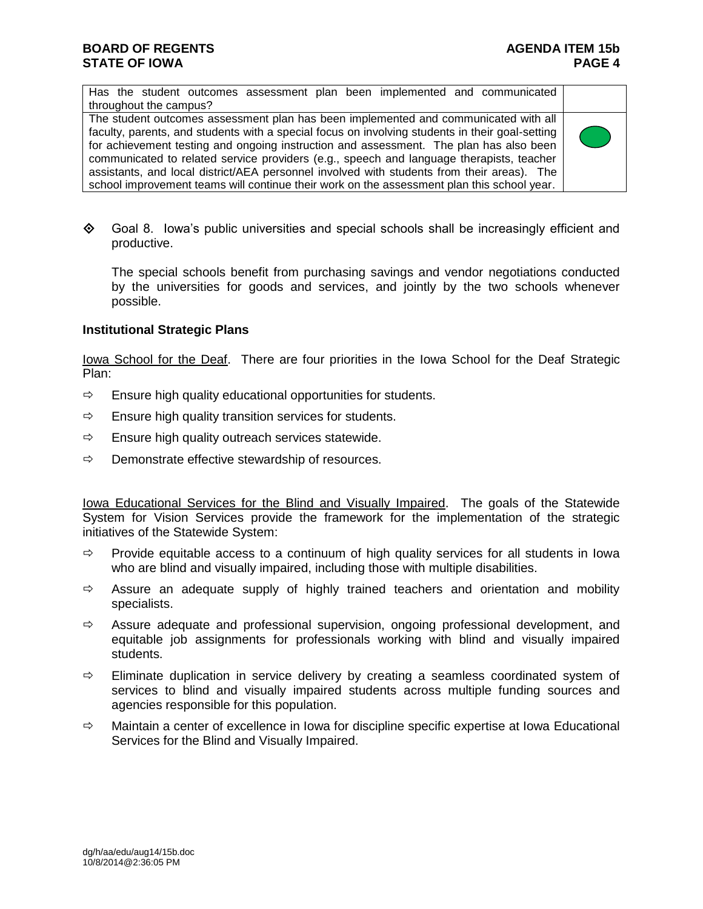Has the student outcomes assessment plan been implemented and communicated throughout the campus?

The student outcomes assessment plan has been implemented and communicated with all faculty, parents, and students with a special focus on involving students in their goal-setting for achievement testing and ongoing instruction and assessment. The plan has also been communicated to related service providers (e.g., speech and language therapists, teacher assistants, and local district/AEA personnel involved with students from their areas). The school improvement teams will continue their work on the assessment plan this school year.



 $\diamond$  Goal 8. Iowa's public universities and special schools shall be increasingly efficient and productive.

The special schools benefit from purchasing savings and vendor negotiations conducted by the universities for goods and services, and jointly by the two schools whenever possible.

### **Institutional Strategic Plans**

Iowa School for the Deaf. There are four priorities in the Iowa School for the Deaf Strategic Plan:

- $\Rightarrow$  Ensure high quality educational opportunities for students.
- $\Rightarrow$  Ensure high quality transition services for students.
- $\Rightarrow$  Ensure high quality outreach services statewide.
- $\Rightarrow$  Demonstrate effective stewardship of resources.

Iowa Educational Services for the Blind and Visually Impaired. The goals of the Statewide System for Vision Services provide the framework for the implementation of the strategic initiatives of the Statewide System:

- $\Rightarrow$  Provide equitable access to a continuum of high quality services for all students in Iowa who are blind and visually impaired, including those with multiple disabilities.
- $\Rightarrow$  Assure an adequate supply of highly trained teachers and orientation and mobility specialists.
- $\Rightarrow$  Assure adequate and professional supervision, ongoing professional development, and equitable job assignments for professionals working with blind and visually impaired students.
- $\Rightarrow$  Eliminate duplication in service delivery by creating a seamless coordinated system of services to blind and visually impaired students across multiple funding sources and agencies responsible for this population.
- $\Rightarrow$  Maintain a center of excellence in Iowa for discipline specific expertise at Iowa Educational Services for the Blind and Visually Impaired.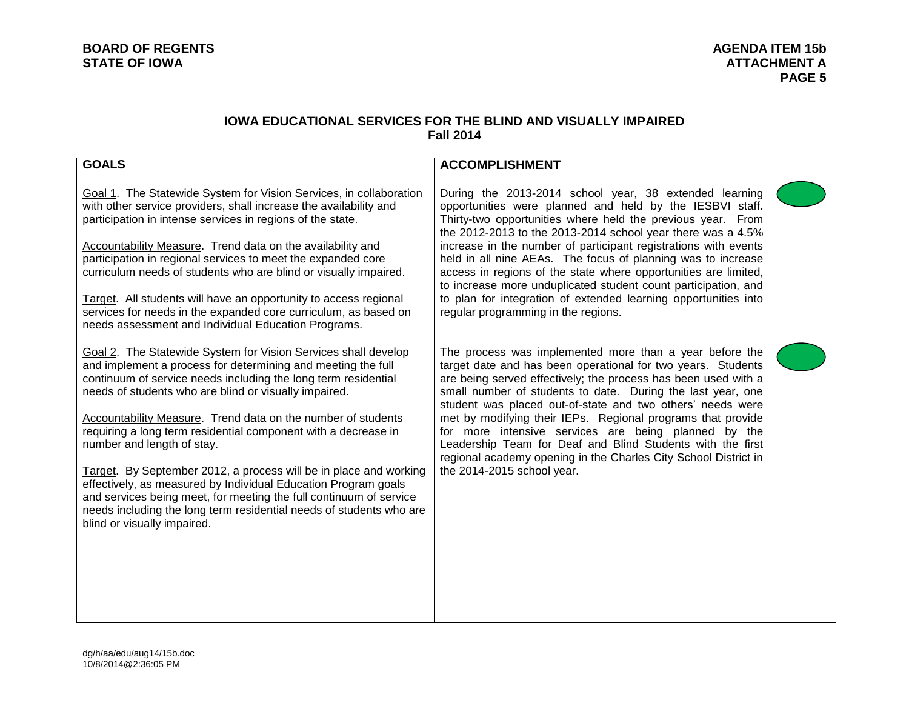### **IOWA EDUCATIONAL SERVICES FOR THE BLIND AND VISUALLY IMPAIRED Fall 2014**

| <b>GOALS</b>                                                                                                                                                                                                                                                                                                                                                                                                                                                                                                                                                                                                                                                                                                                                 | <b>ACCOMPLISHMENT</b>                                                                                                                                                                                                                                                                                                                                                                                                                                                                                                                                                                                                              |  |
|----------------------------------------------------------------------------------------------------------------------------------------------------------------------------------------------------------------------------------------------------------------------------------------------------------------------------------------------------------------------------------------------------------------------------------------------------------------------------------------------------------------------------------------------------------------------------------------------------------------------------------------------------------------------------------------------------------------------------------------------|------------------------------------------------------------------------------------------------------------------------------------------------------------------------------------------------------------------------------------------------------------------------------------------------------------------------------------------------------------------------------------------------------------------------------------------------------------------------------------------------------------------------------------------------------------------------------------------------------------------------------------|--|
| Goal 1. The Statewide System for Vision Services, in collaboration<br>with other service providers, shall increase the availability and<br>participation in intense services in regions of the state.<br>Accountability Measure. Trend data on the availability and<br>participation in regional services to meet the expanded core<br>curriculum needs of students who are blind or visually impaired.<br>Target. All students will have an opportunity to access regional<br>services for needs in the expanded core curriculum, as based on<br>needs assessment and Individual Education Programs.                                                                                                                                        | During the 2013-2014 school year, 38 extended learning<br>opportunities were planned and held by the IESBVI staff.<br>Thirty-two opportunities where held the previous year. From<br>the 2012-2013 to the 2013-2014 school year there was a 4.5%<br>increase in the number of participant registrations with events<br>held in all nine AEAs. The focus of planning was to increase<br>access in regions of the state where opportunities are limited,<br>to increase more unduplicated student count participation, and<br>to plan for integration of extended learning opportunities into<br>regular programming in the regions. |  |
| Goal 2. The Statewide System for Vision Services shall develop<br>and implement a process for determining and meeting the full<br>continuum of service needs including the long term residential<br>needs of students who are blind or visually impaired.<br>Accountability Measure. Trend data on the number of students<br>requiring a long term residential component with a decrease in<br>number and length of stay.<br>Target. By September 2012, a process will be in place and working<br>effectively, as measured by Individual Education Program goals<br>and services being meet, for meeting the full continuum of service<br>needs including the long term residential needs of students who are<br>blind or visually impaired. | The process was implemented more than a year before the<br>target date and has been operational for two years. Students<br>are being served effectively; the process has been used with a<br>small number of students to date. During the last year, one<br>student was placed out-of-state and two others' needs were<br>met by modifying their IEPs. Regional programs that provide<br>for more intensive services are being planned by the<br>Leadership Team for Deaf and Blind Students with the first<br>regional academy opening in the Charles City School District in<br>the 2014-2015 school year.                       |  |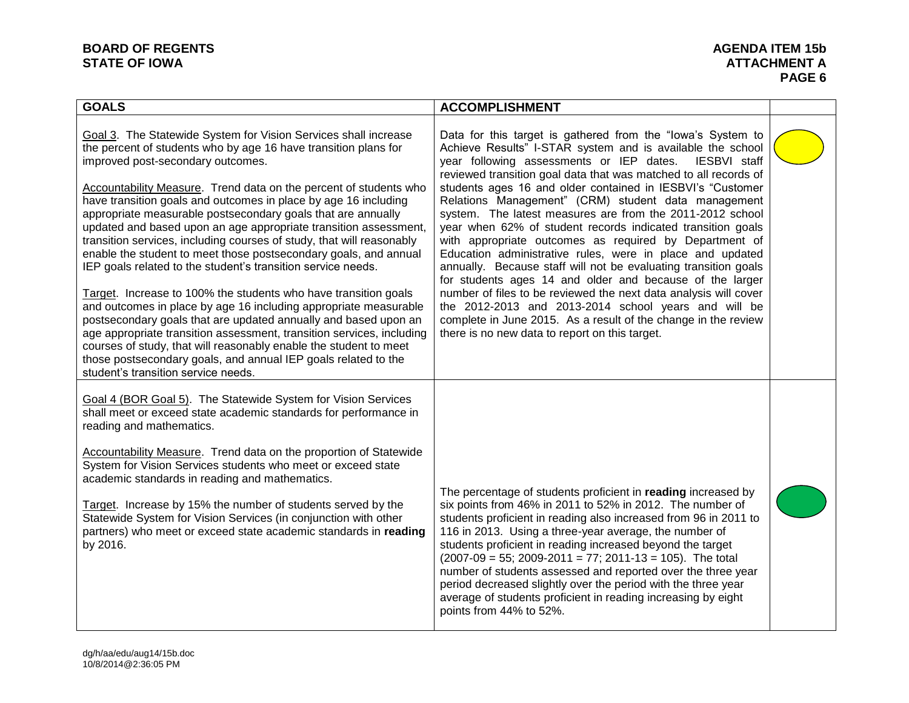# **BOARD OF REGENTS**<br> **BOARD OF REGENTS**<br> **BOARD OF IOWA**<br> **ATTACHMENT A**

| <b>GOALS</b>                                                                                                                                                                                                                                                                                                                                                                                                                                                                                                                                                                                                                                                                                                                                                                                                                                                                                                                                                                                                                                                                                                                      | <b>ACCOMPLISHMENT</b>                                                                                                                                                                                                                                                                                                                                                                                                                                                                                                                                                                                                                                                                                                                                                                                                                                                                                                                                                                                            |  |
|-----------------------------------------------------------------------------------------------------------------------------------------------------------------------------------------------------------------------------------------------------------------------------------------------------------------------------------------------------------------------------------------------------------------------------------------------------------------------------------------------------------------------------------------------------------------------------------------------------------------------------------------------------------------------------------------------------------------------------------------------------------------------------------------------------------------------------------------------------------------------------------------------------------------------------------------------------------------------------------------------------------------------------------------------------------------------------------------------------------------------------------|------------------------------------------------------------------------------------------------------------------------------------------------------------------------------------------------------------------------------------------------------------------------------------------------------------------------------------------------------------------------------------------------------------------------------------------------------------------------------------------------------------------------------------------------------------------------------------------------------------------------------------------------------------------------------------------------------------------------------------------------------------------------------------------------------------------------------------------------------------------------------------------------------------------------------------------------------------------------------------------------------------------|--|
| Goal 3. The Statewide System for Vision Services shall increase<br>the percent of students who by age 16 have transition plans for<br>improved post-secondary outcomes.<br>Accountability Measure. Trend data on the percent of students who<br>have transition goals and outcomes in place by age 16 including<br>appropriate measurable postsecondary goals that are annually<br>updated and based upon an age appropriate transition assessment,<br>transition services, including courses of study, that will reasonably<br>enable the student to meet those postsecondary goals, and annual<br>IEP goals related to the student's transition service needs.<br>Target. Increase to 100% the students who have transition goals<br>and outcomes in place by age 16 including appropriate measurable<br>postsecondary goals that are updated annually and based upon an<br>age appropriate transition assessment, transition services, including<br>courses of study, that will reasonably enable the student to meet<br>those postsecondary goals, and annual IEP goals related to the<br>student's transition service needs. | Data for this target is gathered from the "lowa's System to<br>Achieve Results" I-STAR system and is available the school<br>year following assessments or IEP dates.<br>IESBVI staff<br>reviewed transition goal data that was matched to all records of<br>students ages 16 and older contained in IESBVI's "Customer<br>Relations Management" (CRM) student data management<br>system. The latest measures are from the 2011-2012 school<br>year when 62% of student records indicated transition goals<br>with appropriate outcomes as required by Department of<br>Education administrative rules, were in place and updated<br>annually. Because staff will not be evaluating transition goals<br>for students ages 14 and older and because of the larger<br>number of files to be reviewed the next data analysis will cover<br>the 2012-2013 and 2013-2014 school years and will be<br>complete in June 2015. As a result of the change in the review<br>there is no new data to report on this target. |  |
| Goal 4 (BOR Goal 5). The Statewide System for Vision Services<br>shall meet or exceed state academic standards for performance in<br>reading and mathematics.<br><b>Accountability Measure.</b> Trend data on the proportion of Statewide<br>System for Vision Services students who meet or exceed state<br>academic standards in reading and mathematics.<br>Target. Increase by 15% the number of students served by the<br>Statewide System for Vision Services (in conjunction with other<br>partners) who meet or exceed state academic standards in reading<br>by 2016.                                                                                                                                                                                                                                                                                                                                                                                                                                                                                                                                                    | The percentage of students proficient in reading increased by<br>six points from 46% in 2011 to 52% in 2012. The number of<br>students proficient in reading also increased from 96 in 2011 to<br>116 in 2013. Using a three-year average, the number of<br>students proficient in reading increased beyond the target<br>$(2007-09 = 55; 2009-2011 = 77; 2011-13 = 105)$ . The total<br>number of students assessed and reported over the three year<br>period decreased slightly over the period with the three year<br>average of students proficient in reading increasing by eight<br>points from 44% to 52%.                                                                                                                                                                                                                                                                                                                                                                                               |  |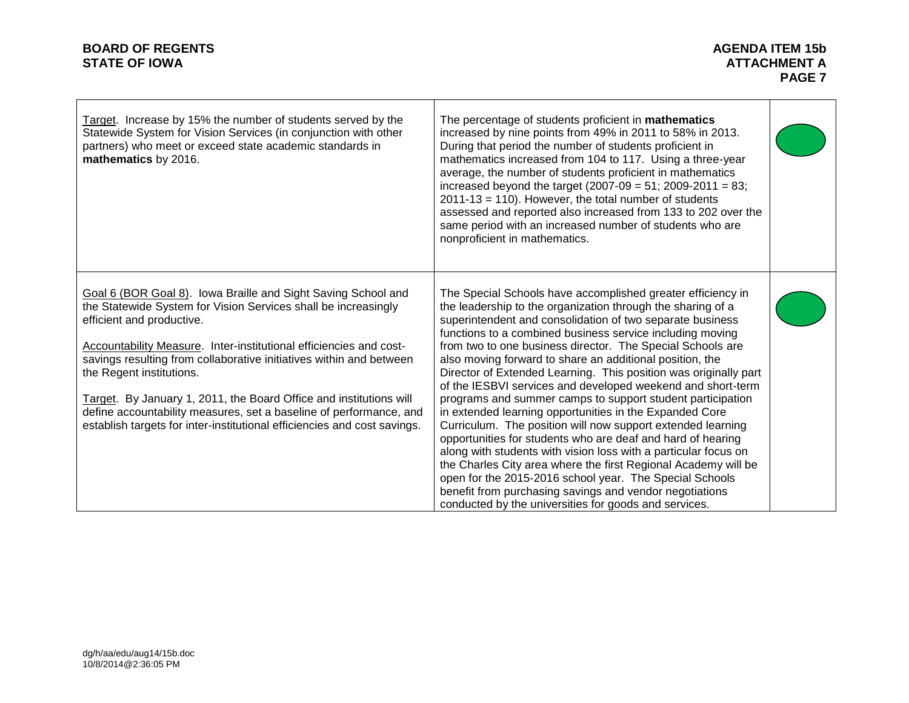# **BOARD OF REGENTS**<br> **BOARD OF REGENTS**<br> **BOARD OF IOWA**<br> **ATTACHMENT A**

| Target. Increase by 15% the number of students served by the<br>Statewide System for Vision Services (in conjunction with other<br>partners) who meet or exceed state academic standards in<br>mathematics by 2016.                                                                                                                                                                                                                                                                                                                                           | The percentage of students proficient in mathematics<br>increased by nine points from 49% in 2011 to 58% in 2013.<br>During that period the number of students proficient in<br>mathematics increased from 104 to 117. Using a three-year<br>average, the number of students proficient in mathematics<br>increased beyond the target $(2007-09 = 51; 2009-2011 = 83;$<br>$2011 - 13 = 110$ ). However, the total number of students<br>assessed and reported also increased from 133 to 202 over the<br>same period with an increased number of students who are<br>nonproficient in mathematics.                                                                                                                                                                                                                                                                                                                                                                                                                                                                                           |  |
|---------------------------------------------------------------------------------------------------------------------------------------------------------------------------------------------------------------------------------------------------------------------------------------------------------------------------------------------------------------------------------------------------------------------------------------------------------------------------------------------------------------------------------------------------------------|----------------------------------------------------------------------------------------------------------------------------------------------------------------------------------------------------------------------------------------------------------------------------------------------------------------------------------------------------------------------------------------------------------------------------------------------------------------------------------------------------------------------------------------------------------------------------------------------------------------------------------------------------------------------------------------------------------------------------------------------------------------------------------------------------------------------------------------------------------------------------------------------------------------------------------------------------------------------------------------------------------------------------------------------------------------------------------------------|--|
| Goal 6 (BOR Goal 8). Iowa Braille and Sight Saving School and<br>the Statewide System for Vision Services shall be increasingly<br>efficient and productive.<br>Accountability Measure. Inter-institutional efficiencies and cost-<br>savings resulting from collaborative initiatives within and between<br>the Regent institutions.<br>Target. By January 1, 2011, the Board Office and institutions will<br>define accountability measures, set a baseline of performance, and<br>establish targets for inter-institutional efficiencies and cost savings. | The Special Schools have accomplished greater efficiency in<br>the leadership to the organization through the sharing of a<br>superintendent and consolidation of two separate business<br>functions to a combined business service including moving<br>from two to one business director. The Special Schools are<br>also moving forward to share an additional position, the<br>Director of Extended Learning. This position was originally part<br>of the IESBVI services and developed weekend and short-term<br>programs and summer camps to support student participation<br>in extended learning opportunities in the Expanded Core<br>Curriculum. The position will now support extended learning<br>opportunities for students who are deaf and hard of hearing<br>along with students with vision loss with a particular focus on<br>the Charles City area where the first Regional Academy will be<br>open for the 2015-2016 school year. The Special Schools<br>benefit from purchasing savings and vendor negotiations<br>conducted by the universities for goods and services. |  |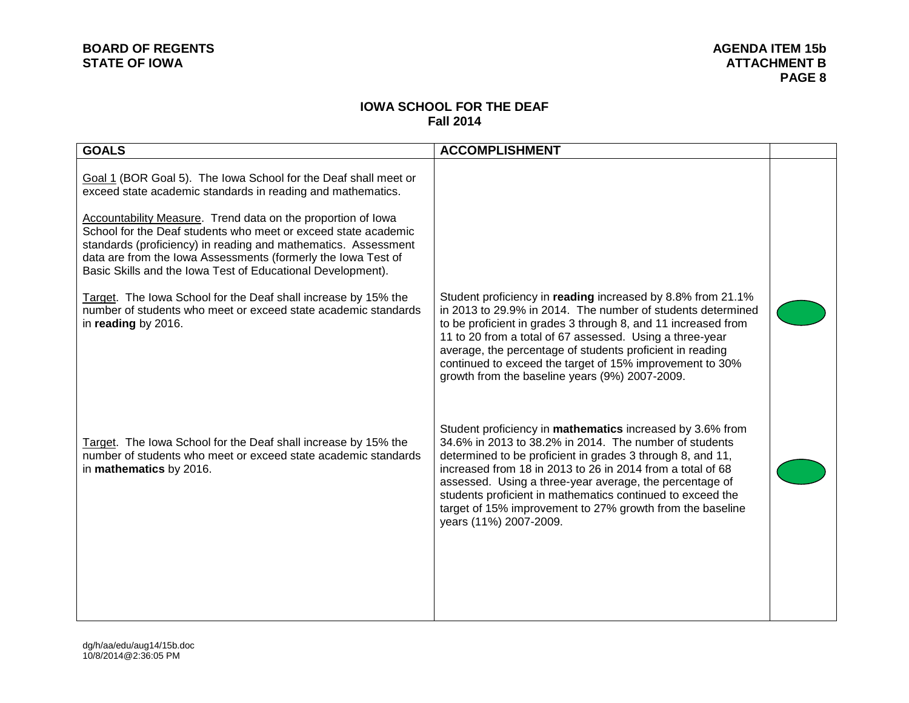## **IOWA SCHOOL FOR THE DEAF Fall 2014**

| <b>GOALS</b>                                                                                                                                                                                                                                                                                                                                                                                        | <b>ACCOMPLISHMENT</b>                                                                                                                                                                                                                                                                                                                                                                                                                                           |  |
|-----------------------------------------------------------------------------------------------------------------------------------------------------------------------------------------------------------------------------------------------------------------------------------------------------------------------------------------------------------------------------------------------------|-----------------------------------------------------------------------------------------------------------------------------------------------------------------------------------------------------------------------------------------------------------------------------------------------------------------------------------------------------------------------------------------------------------------------------------------------------------------|--|
| Goal 1 (BOR Goal 5). The lowa School for the Deaf shall meet or<br>exceed state academic standards in reading and mathematics.<br>Accountability Measure. Trend data on the proportion of Iowa<br>School for the Deaf students who meet or exceed state academic<br>standards (proficiency) in reading and mathematics. Assessment<br>data are from the Iowa Assessments (formerly the Iowa Test of |                                                                                                                                                                                                                                                                                                                                                                                                                                                                 |  |
| Basic Skills and the Iowa Test of Educational Development).<br>Target. The lowa School for the Deaf shall increase by 15% the<br>number of students who meet or exceed state academic standards<br>in reading by 2016.                                                                                                                                                                              | Student proficiency in reading increased by 8.8% from 21.1%<br>in 2013 to 29.9% in 2014. The number of students determined<br>to be proficient in grades 3 through 8, and 11 increased from<br>11 to 20 from a total of 67 assessed. Using a three-year<br>average, the percentage of students proficient in reading<br>continued to exceed the target of 15% improvement to 30%<br>growth from the baseline years (9%) 2007-2009.                              |  |
| Target. The lowa School for the Deaf shall increase by 15% the<br>number of students who meet or exceed state academic standards<br>in mathematics by 2016.                                                                                                                                                                                                                                         | Student proficiency in mathematics increased by 3.6% from<br>34.6% in 2013 to 38.2% in 2014. The number of students<br>determined to be proficient in grades 3 through 8, and 11,<br>increased from 18 in 2013 to 26 in 2014 from a total of 68<br>assessed. Using a three-year average, the percentage of<br>students proficient in mathematics continued to exceed the<br>target of 15% improvement to 27% growth from the baseline<br>years (11%) 2007-2009. |  |
|                                                                                                                                                                                                                                                                                                                                                                                                     |                                                                                                                                                                                                                                                                                                                                                                                                                                                                 |  |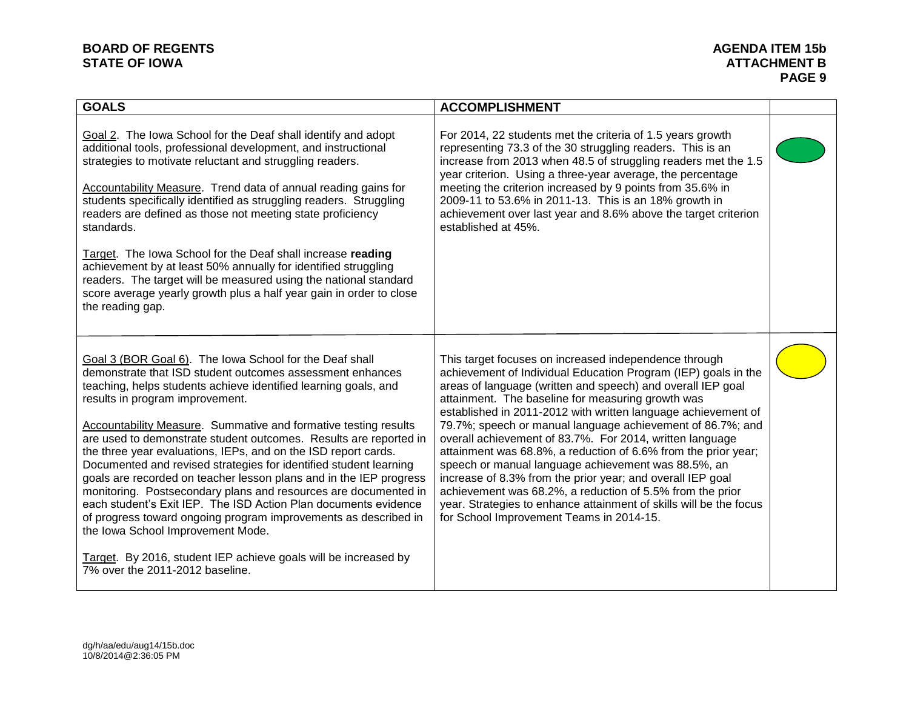# **BOARD OF REGENTS**<br> **BOARD OF REGENTS**<br> **BOARD OF IOWA**<br> **ATTACHMENT B**

| <b>GOALS</b>                                                                                                                                                                                                                                                                                                                                                                                                                                                                                                                                                                                                                                                                                                                                                                                                                                                                                                                               | <b>ACCOMPLISHMENT</b>                                                                                                                                                                                                                                                                                                                                                                                                                                                                                                                                                                                                                                                                                                                                                                                        |  |
|--------------------------------------------------------------------------------------------------------------------------------------------------------------------------------------------------------------------------------------------------------------------------------------------------------------------------------------------------------------------------------------------------------------------------------------------------------------------------------------------------------------------------------------------------------------------------------------------------------------------------------------------------------------------------------------------------------------------------------------------------------------------------------------------------------------------------------------------------------------------------------------------------------------------------------------------|--------------------------------------------------------------------------------------------------------------------------------------------------------------------------------------------------------------------------------------------------------------------------------------------------------------------------------------------------------------------------------------------------------------------------------------------------------------------------------------------------------------------------------------------------------------------------------------------------------------------------------------------------------------------------------------------------------------------------------------------------------------------------------------------------------------|--|
| Goal 2. The Iowa School for the Deaf shall identify and adopt<br>additional tools, professional development, and instructional<br>strategies to motivate reluctant and struggling readers.<br>Accountability Measure. Trend data of annual reading gains for<br>students specifically identified as struggling readers. Struggling<br>readers are defined as those not meeting state proficiency<br>standards.<br>Target. The lowa School for the Deaf shall increase reading<br>achievement by at least 50% annually for identified struggling<br>readers. The target will be measured using the national standard<br>score average yearly growth plus a half year gain in order to close<br>the reading gap.                                                                                                                                                                                                                             | For 2014, 22 students met the criteria of 1.5 years growth<br>representing 73.3 of the 30 struggling readers. This is an<br>increase from 2013 when 48.5 of struggling readers met the 1.5<br>year criterion. Using a three-year average, the percentage<br>meeting the criterion increased by 9 points from 35.6% in<br>2009-11 to 53.6% in 2011-13. This is an 18% growth in<br>achievement over last year and 8.6% above the target criterion<br>established at 45%.                                                                                                                                                                                                                                                                                                                                      |  |
| Goal 3 (BOR Goal 6). The Iowa School for the Deaf shall<br>demonstrate that ISD student outcomes assessment enhances<br>teaching, helps students achieve identified learning goals, and<br>results in program improvement.<br><b>Accountability Measure.</b> Summative and formative testing results<br>are used to demonstrate student outcomes. Results are reported in<br>the three year evaluations, IEPs, and on the ISD report cards.<br>Documented and revised strategies for identified student learning<br>goals are recorded on teacher lesson plans and in the IEP progress<br>monitoring. Postsecondary plans and resources are documented in<br>each student's Exit IEP. The ISD Action Plan documents evidence<br>of progress toward ongoing program improvements as described in<br>the Iowa School Improvement Mode.<br>Target. By 2016, student IEP achieve goals will be increased by<br>7% over the 2011-2012 baseline. | This target focuses on increased independence through<br>achievement of Individual Education Program (IEP) goals in the<br>areas of language (written and speech) and overall IEP goal<br>attainment. The baseline for measuring growth was<br>established in 2011-2012 with written language achievement of<br>79.7%; speech or manual language achievement of 86.7%; and<br>overall achievement of 83.7%. For 2014, written language<br>attainment was 68.8%, a reduction of 6.6% from the prior year;<br>speech or manual language achievement was 88.5%, an<br>increase of 8.3% from the prior year; and overall IEP goal<br>achievement was 68.2%, a reduction of 5.5% from the prior<br>year. Strategies to enhance attainment of skills will be the focus<br>for School Improvement Teams in 2014-15. |  |